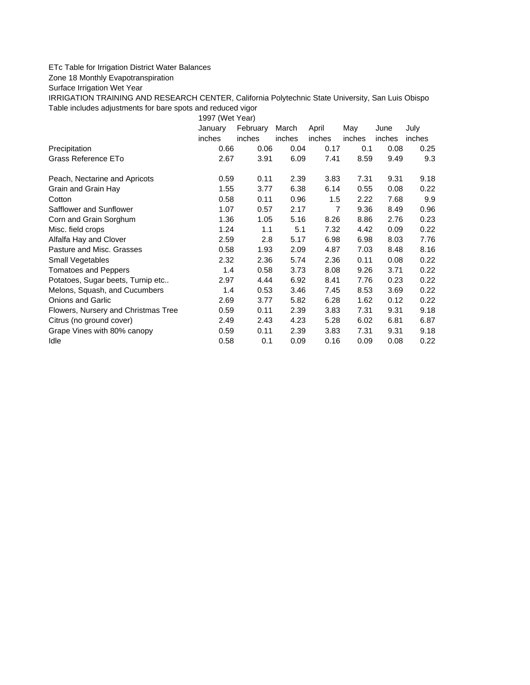## ETc Table for Irrigation District Water Balances

Zone 18 Monthly Evapotranspiration

Surface Irrigation Wet Year

IRRIGATION TRAINING AND RESEARCH CENTER, California Polytechnic State University, San Luis Obispo Table includes adjustments for bare spots and reduced vigor

1997 (Wet Year)

|                                     | January | February | March  | April          | May    | June   | July   |
|-------------------------------------|---------|----------|--------|----------------|--------|--------|--------|
|                                     | inches  | inches   | inches | inches         | inches | inches | inches |
| Precipitation                       | 0.66    | 0.06     | 0.04   | 0.17           | 0.1    | 0.08   | 0.25   |
| Grass Reference ETo                 | 2.67    | 3.91     | 6.09   | 7.41           | 8.59   | 9.49   | 9.3    |
| Peach, Nectarine and Apricots       | 0.59    | 0.11     | 2.39   | 3.83           | 7.31   | 9.31   | 9.18   |
| Grain and Grain Hay                 | 1.55    | 3.77     | 6.38   | 6.14           | 0.55   | 0.08   | 0.22   |
| Cotton                              | 0.58    | 0.11     | 0.96   | 1.5            | 2.22   | 7.68   | 9.9    |
| Safflower and Sunflower             | 1.07    | 0.57     | 2.17   | $\overline{7}$ | 9.36   | 8.49   | 0.96   |
| Corn and Grain Sorghum              | 1.36    | 1.05     | 5.16   | 8.26           | 8.86   | 2.76   | 0.23   |
| Misc. field crops                   | 1.24    | 1.1      | 5.1    | 7.32           | 4.42   | 0.09   | 0.22   |
| Alfalfa Hay and Clover              | 2.59    | 2.8      | 5.17   | 6.98           | 6.98   | 8.03   | 7.76   |
| Pasture and Misc. Grasses           | 0.58    | 1.93     | 2.09   | 4.87           | 7.03   | 8.48   | 8.16   |
| Small Vegetables                    | 2.32    | 2.36     | 5.74   | 2.36           | 0.11   | 0.08   | 0.22   |
| <b>Tomatoes and Peppers</b>         | 1.4     | 0.58     | 3.73   | 8.08           | 9.26   | 3.71   | 0.22   |
| Potatoes, Sugar beets, Turnip etc   | 2.97    | 4.44     | 6.92   | 8.41           | 7.76   | 0.23   | 0.22   |
| Melons, Squash, and Cucumbers       | 1.4     | 0.53     | 3.46   | 7.45           | 8.53   | 3.69   | 0.22   |
| Onions and Garlic                   | 2.69    | 3.77     | 5.82   | 6.28           | 1.62   | 0.12   | 0.22   |
| Flowers, Nursery and Christmas Tree | 0.59    | 0.11     | 2.39   | 3.83           | 7.31   | 9.31   | 9.18   |
| Citrus (no ground cover)            | 2.49    | 2.43     | 4.23   | 5.28           | 6.02   | 6.81   | 6.87   |
| Grape Vines with 80% canopy         | 0.59    | 0.11     | 2.39   | 3.83           | 7.31   | 9.31   | 9.18   |
| Idle                                | 0.58    | 0.1      | 0.09   | 0.16           | 0.09   | 0.08   | 0.22   |